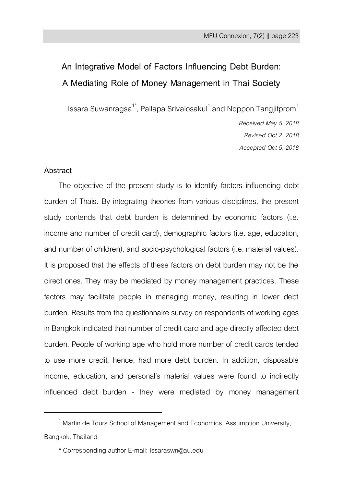# **An Integrative Model of Factors Influencing Debt Burden: A Mediating Role of Money Management in Thai Society**

Issara Suwanragsa $^{\textsf{T}}$ , Pallapa Srivalosakul $^{\textsf{T}}$  and Noppon Tangjitprom $^{\textsf{T}}$ 

*Received May 5, 2018 Revised Oct 2, 2018 Accepted Oct 5, 2018*

# **Abstract**

 $\overline{a}$ 

The objective of the present study is to identify factors influencing debt burden of Thais. By integrating theories from various disciplines, the present study contends that debt burden is determined by economic factors (i.e. income and number of credit card), demographic factors (i.e. age, education, and number of children), and socio-psychological factors (i.e. material values). It is proposed that the effects of these factors on debt burden may not be the direct ones. They may be mediated by money management practices. These factors may facilitate people in managing money, resulting in lower debt burden. Results from the questionnaire survey on respondents of working ages in Bangkok indicated that number of credit card and age directly affected debt burden. People of working age who hold more number of credit cards tended to use more credit, hence, had more debt burden. In addition, disposable income, education, and personal's material values were found to indirectly influenced debt burden - they were mediated by money management

 $^{1}$  Martin de Tours School of Management and Economics, Assumption University, Bangkok, Thailand

<sup>\*</sup> Corresponding author E-mail: Issaraswn@au.edu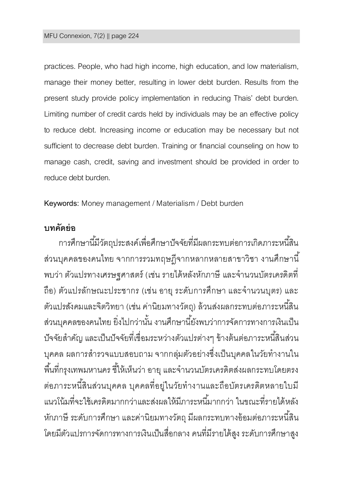practices. People, who had high income, high education, and low materialism, manage their money better, resulting in lower debt burden. Results from the present study provide policy implementation in reducing Thais' debt burden. Limiting number of credit cards held by individuals may be an effective policy to reduce debt. Increasing income or education may be necessary but not sufficient to decrease debt burden. Training or financial counseling on how to manage cash, credit, saving and investment should be provided in order to reduce debt burden.

**Keywords:** Money management / Materialism / Debt burden

# **บทคัดย่อ**

การศึกษานี ้มีวัตถุประสงค์เพื่อศึกษาปัจจัยที่มีผลกระทบต่อการเกิดภาระหนี ้สิน ส่วนบุคคลของคนไทย จากการรวมทฤษฎีจากหลากหลายสาขาวิชา งานศึกษานี ้ พบว่า ตัวแปรทางเศรษฐศาสตร์ (เช่น รายได้หลังหักภาษี และจำนวนบัตรเครดิตที่ ถือ) ตัวแปรลักษณะประชากร (เช่น อายุ ระดับการศึกษา และจำนวนบุตร) และ ตัวแปรสังคมและจิตวิทยา (เช่น ค่านิยมทางวัตถุ) ล้วนส่งผลกระทบต่อภาระหนี้สิน ส่วนบุคคลของคนไทย ยิ่งไปกว่านั้น งานศึกษานี้ยังพบว่าการจัดการทางการเงินเป็น ปัจจัยสำคัญ และเป็นปัจจัยที่เชื่อมระหว่างตัวแปรต่างๆ ข้างต้นต่อภาระหนี้สินส่วน บุคคล ผลการสำรวจแบบสอบถาม จากกล่มตัวอย่างซึ่งเป็นบุคคลในวัยทำงานใน พื้นที่กรุงเทพมหานคร ชี้ให้เห็นว่า อายุ และจำนวนบัตรเครดิตส่งผลกระทบโดยตรง ต่อภาระหนี้สินส่วนบุคคล บุคคลที่อยู่ในวัยทำงานและถือบัตรเครดิตหลายใบมี แนวโน้มที่จะใช้เครดิตมากกว่าและส่งผลให้มีภาระหนี้มากกว่า ในขณะที่รายได้หลัง หักภาษี ระดับการศึกษา และค่านิยมทางวัตถุ มีผลกระทบทางอ้อมต่อภาระหนี้สิน โดยมีตัวแปรการจัดการทางการเงินเป็นสื่อกลาง คนที่มีรายได้สูง ระดับการศึกษาสูง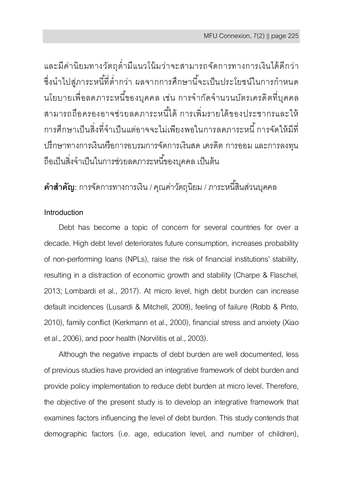และมีค่านิยมทางวัตถุต่ำมีแนวโน้มว่าจะสามารถจัดการทางการเงินได้ดีกว่า ซึ่งนำไปสู่ภาระหนี้ที่ต่ำกว่า ผลจากการศึกษานี้จะเป็นประโยชน์ในการกำหนด นโยบายเพื่อลดภาระหนี้ของบคคล เช่น การจำกัดจำนวนบัตรเครดิตที่บุคคล สามารถถือครองอาจช่วยลดภาระหนี้ได้ การเพิ่มรายได้ของประชากรและให้ การศึกษาเป็นสิ่งที่จำเป็นแต่อาจจะไม่เพียงพอในการลดภาระหนี้ การจัดให้มีที่ ปรึกษาทางการเงินหรือการอบรมการจัดการเงินสด เครดิต การออม และการลงทุน ถือเป็นสิ่งจำเป็นในการช่วยลดภาระหนี้ของบคคล เป็นต้น

**คำสำคัญ**: การจัดการทางการเงิน / คุณค่าวัตถุนิยม / ภาระหนี้สินส่วนบคคล

# **Introduction**

Debt has become a topic of concern for several countries for over a decade. High debt level deteriorates future consumption, increases probability of non-performing loans (NPLs), raise the risk of financial institutions' stability, resulting in a distraction of economic growth and stability (Charpe & Flaschel, 2013; Lombardi et al., 2017). At micro level, high debt burden can increase default incidences (Lusardi & Mitchell, 2009), feeling of failure (Robb & Pinto, 2010), family conflict (Kerkmann et al., 2000), financial stress and anxiety (Xiao et al., 2006), and poor health (Norvilitis et al., 2003).

Although the negative impacts of debt burden are well documented, less of previous studies have provided an integrative framework of debt burden and provide policy implementation to reduce debt burden at micro level. Therefore, the objective of the present study is to develop an integrative framework that examines factors influencing the level of debt burden. This study contends that demographic factors (i.e. age, education level, and number of children),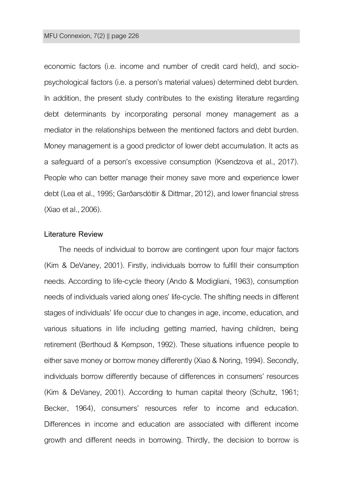#### MFU Connexion, 7(2) || page 226

economic factors (i.e. income and number of credit card held), and sociopsychological factors (i.e. a person's material values) determined debt burden. In addition, the present study contributes to the existing literature regarding debt determinants by incorporating personal money management as a mediator in the relationships between the mentioned factors and debt burden. Money management is a good predictor of lower debt accumulation. It acts as a safeguard of a person's excessive consumption (Ksendzova et al., 2017). People who can better manage their money save more and experience lower debt (Lea et al., 1995; Garðarsdóttir & Dittmar, 2012), and lower financial stress (Xiao et al., 2006).

#### **Literature Review**

The needs of individual to borrow are contingent upon four major factors (Kim & DeVaney, 2001). Firstly, individuals borrow to fulfill their consumption needs. According to life-cycle theory (Ando & Modigliani, 1963), consumption needs of individuals varied along ones' life-cycle.The shifting needs in different stages of individuals' life occur due to changes in age, income, education, and various situations in life including getting married, having children, being retirement (Berthoud & Kempson, 1992). These situations influence people to either save money or borrow money differently (Xiao & Noring, 1994). Secondly, individuals borrow differently because of differences in consumers' resources (Kim & DeVaney, 2001). According to human capital theory (Schultz, 1961; Becker, 1964), consumers' resources refer to income and education. Differences in income and education are associated with different income growth and different needs in borrowing. Thirdly, the decision to borrow is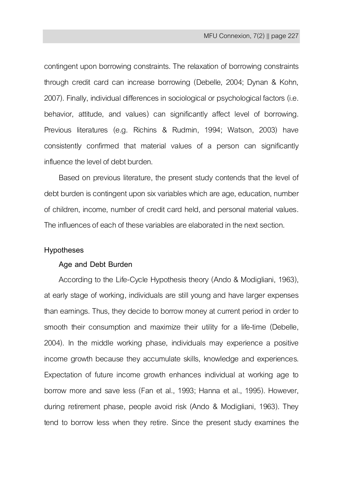contingent upon borrowing constraints. The relaxation of borrowing constraints through credit card can increase borrowing (Debelle, 2004; Dynan & Kohn, 2007). Finally, individual differences in sociological or psychological factors (i.e. behavior, attitude, and values) can significantly affect level of borrowing. Previous literatures (e.g. Richins & Rudmin, 1994; Watson, 2003) have consistently confirmed that material values of a person can significantly influence the level of debt burden.

Based on previous literature, the present study contends that the level of debt burden is contingent upon six variables which are age, education, number of children, income, number of credit card held, and personal material values. The influences of each of these variables are elaborated in the next section.

# **Hypotheses**

#### **Age and Debt Burden**

According to the Life-Cycle Hypothesis theory (Ando & Modigliani, 1963), at early stage of working, individuals are still young and have larger expenses than earnings. Thus, they decide to borrow money at current period in order to smooth their consumption and maximize their utility for a life-time (Debelle, 2004). In the middle working phase, individuals may experience a positive income growth because they accumulate skills, knowledge and experiences. Expectation of future income growth enhances individual at working age to borrow more and save less (Fan et al., 1993; Hanna et al., 1995). However, during retirement phase, people avoid risk (Ando & Modigliani, 1963). They tend to borrow less when they retire. Since the present study examines the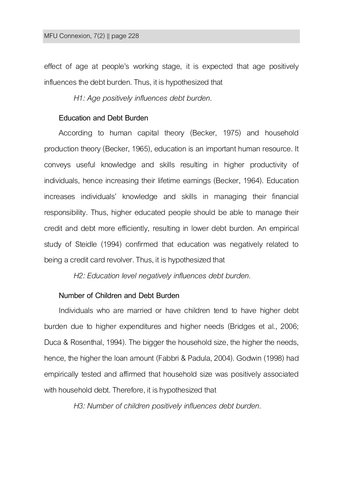effect of age at people's working stage, it is expected that age positively influences the debt burden. Thus, it is hypothesized that

*H1: Age positively influences debt burden.*

# **Education and Debt Burden**

According to human capital theory (Becker, 1975) and household production theory (Becker, 1965), education is an important human resource. It conveys useful knowledge and skills resulting in higher productivity of individuals, hence increasing their lifetime earnings (Becker, 1964). Education increases individuals' knowledge and skills in managing their financial responsibility. Thus, higher educated people should be able to manage their credit and debt more efficiently, resulting in lower debt burden. An empirical study of Steidle (1994) confirmed that education was negatively related to being a credit card revolver. Thus, it is hypothesized that

*H2: Education level negatively influences debt burden.*

#### **Number of Children and Debt Burden**

Individuals who are married or have children tend to have higher debt burden due to higher expenditures and higher needs (Bridges et al., 2006; Duca & Rosenthal, 1994). The bigger the household size, the higher the needs, hence, the higher the loan amount (Fabbri & Padula, 2004). Godwin (1998) had empirically tested and affirmed that household size was positively associated with household debt. Therefore, it is hypothesized that

*H3: Number of children positively influences debt burden.*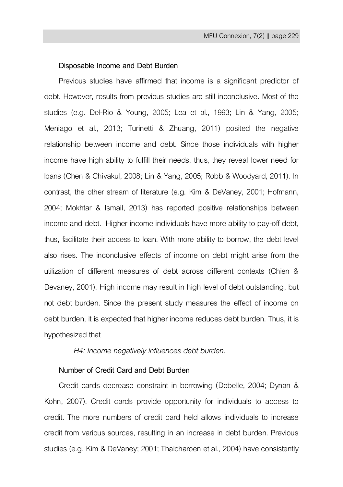#### **Disposable Income and Debt Burden**

Previous studies have affirmed that income is a significant predictor of debt. However, results from previous studies are still inconclusive. Most of the studies (e.g. Del-Rio & Young, 2005; Lea et al., 1993; Lin & Yang, 2005; Meniago et al., 2013; Turinetti & Zhuang, 2011) posited the negative relationship between income and debt. Since those individuals with higher income have high ability to fulfill their needs, thus, they reveal lower need for loans (Chen & Chivakul, 2008; Lin & Yang, 2005; Robb & Woodyard, 2011). In contrast, the other stream of literature (e.g. Kim & DeVaney, 2001; Hofmann, 2004; Mokhtar & Ismail, 2013) has reported positive relationships between income and debt. Higher income individuals have more ability to pay-off debt, thus, facilitate their access to loan. With more ability to borrow, the debt level also rises. The inconclusive effects of income on debt might arise from the utilization of different measures of debt across different contexts (Chien & Devaney, 2001). High income may result in high level of debt outstanding, but not debt burden. Since the present study measures the effect of income on debt burden, it is expected that higher income reduces debt burden. Thus, it is hypothesized that

*H4: Income negatively influences debt burden.*

# **Number of Credit Card and Debt Burden**

Credit cards decrease constraint in borrowing (Debelle, 2004; Dynan & Kohn, 2007). Credit cards provide opportunity for individuals to access to credit. The more numbers of credit card held allows individuals to increase credit from various sources, resulting in an increase in debt burden. Previous studies (e.g. Kim & DeVaney; 2001; Thaicharoen et al., 2004) have consistently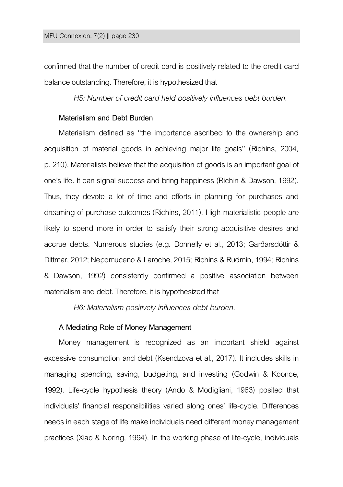confirmed that the number of credit card is positively related to the credit card balance outstanding. Therefore, it is hypothesized that

*H5: Number of credit card held positively influences debt burden.*

# **Materialism and Debt Burden**

Materialism defined as ''the importance ascribed to the ownership and acquisition of material goods in achieving major life goals'' (Richins, 2004, p. 210). Materialists believe that the acquisition of goods is an important goal of one's life. It can signal success and bring happiness (Richin & Dawson, 1992). Thus, they devote a lot of time and efforts in planning for purchases and dreaming of purchase outcomes (Richins, 2011). High materialistic people are likely to spend more in order to satisfy their strong acquisitive desires and accrue debts. Numerous studies (e.g. Donnelly et al., 2013; Garðarsdóttir & Dittmar, 2012; Nepomuceno & Laroche, 2015; Richins & Rudmin, 1994; Richins & Dawson, 1992) consistently confirmed a positive association between materialism and debt. Therefore, it is hypothesized that

*H6: Materialism positively influences debt burden.*

# **A Mediating Role of Money Management**

Money management is recognized as an important shield against excessive consumption and debt (Ksendzova et al., 2017). It includes skills in managing spending, saving, budgeting, and investing (Godwin & Koonce, 1992). Life-cycle hypothesis theory (Ando & Modigliani, 1963) posited that individuals' financial responsibilities varied along ones' life-cycle. Differences needs in each stage of life make individuals need different money management practices (Xiao & Noring, 1994). In the working phase of life-cycle, individuals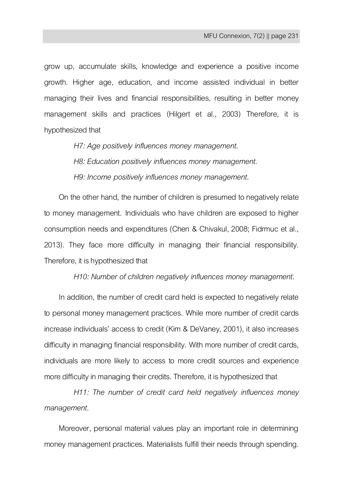grow up, accumulate skills, knowledge and experience a positive income growth. Higher age, education, and income assisted individual in better managing their lives and financial responsibilities, resulting in better money management skills and practices (Hilgert et al., 2003) Therefore, it is hypothesized that

*H7: Age positively influences money management.*

*H8: Education positively influences money management.*

*H9: Income positively influences money management.*

On the other hand, the number of children is presumed to negatively relate to money management. Individuals who have children are exposed to higher consumption needs and expenditures (Chen & Chivakul, 2008; Fidrmuc et al., 2013). They face more difficulty in managing their financial responsibility. Therefore, it is hypothesized that

*H10: Number of children negatively influences money management.*

In addition, the number of credit card held is expected to negatively relate to personal money management practices. While more number of credit cards increase individuals' access to credit (Kim & DeVaney, 2001), it also increases difficulty in managing financial responsibility. With more number of credit cards, individuals are more likely to access to more credit sources and experience more difficulty in managing their credits. Therefore, it is hypothesized that

*H11: The number of credit card held negatively influences money management.*

Moreover, personal material values play an important role in determining money management practices. Materialists fulfill their needs through spending.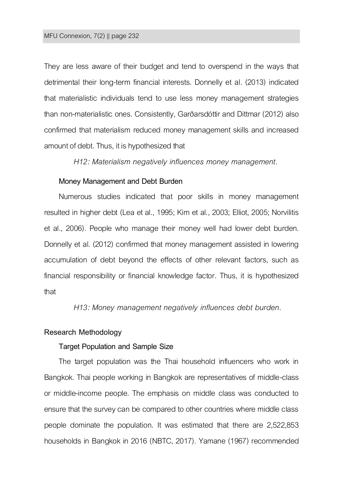#### MFU Connexion, 7(2) || page 232

They are less aware of their budget and tend to overspend in the ways that detrimental their long-term financial interests. Donnelly et al. (2013) indicated that materialistic individuals tend to use less money management strategies than non-materialistic ones. Consistently, Garðarsdóttir and Dittmar (2012) also confirmed that materialism reduced money management skills and increased amount of debt. Thus, it is hypothesized that

*H12: Materialism negatively influences money management.*

#### **Money Management and Debt Burden**

Numerous studies indicated that poor skills in money management resulted in higher debt (Lea et al., 1995; Kim et al., 2003; Elliot, 2005; Norvilitis et al., 2006). People who manage their money well had lower debt burden. Donnelly et al. (2012) confirmed that money management assisted in lowering accumulation of debt beyond the effects of other relevant factors, such as financial responsibility or financial knowledge factor. Thus, it is hypothesized that

*H13: Money management negatively influences debt burden.*

#### **Research Methodology**

#### **Target Population and Sample Size**

The target population was the Thai household influencers who work in Bangkok. Thai people working in Bangkok are representatives of middle-class or middle-income people. The emphasis on middle class was conducted to ensure that the survey can be compared to other countries where middle class people dominate the population. It was estimated that there are 2,522,853 households in Bangkok in 2016 (NBTC, 2017). Yamane (1967) recommended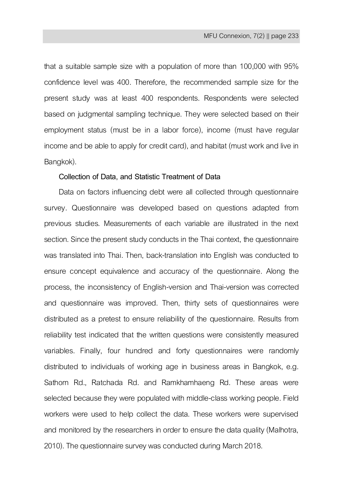that a suitable sample size with a population of more than 100,000 with 95% confidence level was 400. Therefore, the recommended sample size for the present study was at least 400 respondents. Respondents were selected based on judgmental sampling technique. They were selected based on their employment status (must be in a labor force), income (must have regular income and be able to apply for credit card), and habitat (must work and live in Bangkok).

# **Collection of Data, and Statistic Treatment of Data**

Data on factors influencing debt were all collected through questionnaire survey. Questionnaire was developed based on questions adapted from previous studies. Measurements of each variable are illustrated in the next section. Since the present study conducts in the Thai context, the questionnaire was translated into Thai. Then, back-translation into English was conducted to ensure concept equivalence and accuracy of the questionnaire. Along the process, the inconsistency of English-version and Thai-version was corrected and questionnaire was improved. Then, thirty sets of questionnaires were distributed as a pretest to ensure reliability of the questionnaire. Results from reliability test indicated that the written questions were consistently measured variables. Finally, four hundred and forty questionnaires were randomly distributed to individuals of working age in business areas in Bangkok, e.g. Sathorn Rd., Ratchada Rd. and Ramkhamhaeng Rd. These areas were selected because they were populated with middle-class working people. Field workers were used to help collect the data. These workers were supervised and monitored by the researchers in order to ensure the data quality (Malhotra, 2010). The questionnaire survey was conducted during March 2018.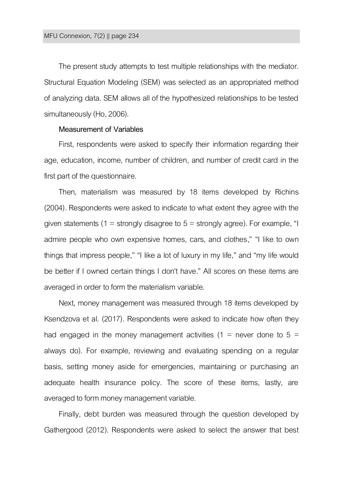The present study attempts to test multiple relationships with the mediator. Structural Equation Modeling (SEM) was selected as an appropriated method of analyzing data. SEM allows all of the hypothesized relationships to be tested simultaneously (Ho, 2006).

# **Measurement of Variables**

First, respondents were asked to specify their information regarding their age, education, income, number of children, and number of credit card in the first part of the questionnaire.

Then, materialism was measured by 18 items developed by Richins (2004). Respondents were asked to indicate to what extent they agree with the given statements (1 = strongly disagree to  $5 =$  strongly agree). For example, "I admire people who own expensive homes, cars, and clothes," "I like to own things that impress people,' 'I like a lot of luxury in my life,' and 'my life would be better if I owned certain things I don't have.' All scores on these items are averaged in order to form the materialism variable.

Next, money management was measured through 18 items developed by Ksendzova et al. (2017). Respondents were asked to indicate how often they had engaged in the money management activities  $(1 =$  never done to  $5 =$ always do). For example, reviewing and evaluating spending on a regular basis, setting money aside for emergencies, maintaining or purchasing an adequate health insurance policy. The score of these items, lastly, are averaged to form money management variable.

Finally, debt burden was measured through the question developed by Gathergood (2012). Respondents were asked to select the answer that best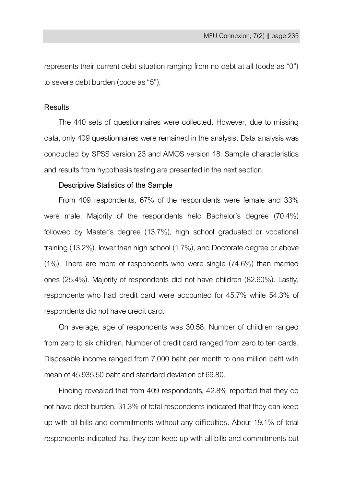represents their current debt situation ranging from no debt at all (code as '0') to severe debt burden (code as '5').

#### **Results**

The 440 sets of questionnaires were collected. However, due to missing data, only 409 questionnaires were remained in the analysis. Data analysis was conducted by SPSS version 23 and AMOS version 18. Sample characteristics and results from hypothesis testing are presented in the next section.

# **Descriptive Statistics of the Sample**

From 409 respondents, 67% of the respondents were female and 33% were male. Majority of the respondents held Bachelor's degree (70.4%) followed by Master's degree (13.7%), high school graduated or vocational training (13.2%), lower than high school (1.7%), and Doctorate degree or above (1%). There are more of respondents who were single (74.6%) than married ones (25.4%). Majority of respondents did not have children (82.60%). Lastly, respondents who had credit card were accounted for 45.7% while 54.3% of respondents did not have credit card.

On average, age of respondents was 30.58. Number of children ranged from zero to six children. Number of credit card ranged from zero to ten cards. Disposable income ranged from 7,000 baht per month to one million baht with mean of 45,935,50 baht and standard deviation of 69,80.

Finding revealed that from 409 respondents, 42.8% reported that they do not have debt burden, 31.3% of total respondents indicated that they can keep up with all bills and commitments without any difficulties. About 19.1% of total respondents indicated that they can keep up with all bills and commitments but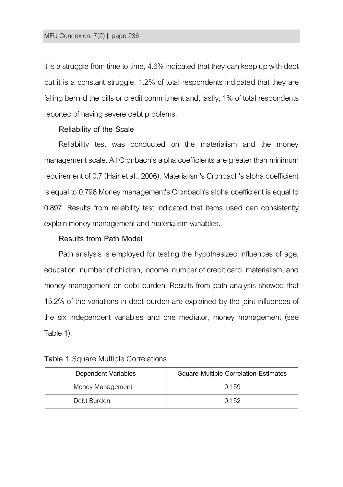it is a struggle from time to time, 4.6% indicated that they can keep up with debt but it is a constant struggle, 1.2% of total respondents indicated that they are falling behind the bills or credit commitment and, lastly, 1% of total respondents reported of having severe debt problems.

# **Reliability of the Scale**

Reliability test was conducted on the materialism and the money management scale. All Cronbach's alpha coefficients are greater than minimum requirement of 0.7 (Hair et al., 2006). Materialism's Cronbach's alpha coefficient is equal to 0.798 Money management's Cronbach's alpha coefficient is equal to 0.897. Results from reliability test indicated that items used can consistently explain money management and materialism variables.

# **Results from Path Model**

Path analysis is employed for testing the hypothesized influences of age, education, number of children, income, number of credit card, materialism, and money management on debt burden. Results from path analysis showed that 15.2% of the variations in debt burden are explained by the joint influences of the six independent variables and one mediator, money management (see Table 1).

| Table 1 Square Multiple Correlations |  |
|--------------------------------------|--|
|                                      |  |

| Dependent Variables | <b>Square Multiple Correlation Estimates</b> |
|---------------------|----------------------------------------------|
| Money Management    | 0.159                                        |
| Debt Burden         | 0.152                                        |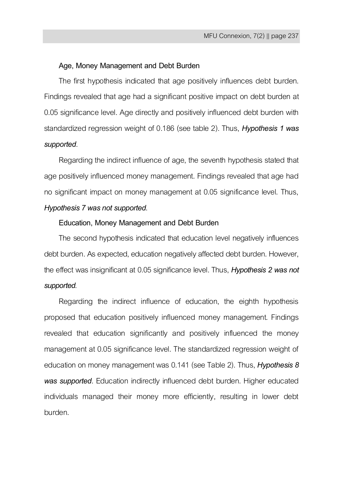# **Age, Money Management and Debt Burden**

The first hypothesis indicated that age positively influences debt burden. Findings revealed that age had a significant positive impact on debt burden at 0.05 significance level. Age directly and positively influenced debt burden with standardized regression weight of 0.186 (see table 2). Thus, *Hypothesis 1 was supported*.

Regarding the indirect influence of age, the seventh hypothesis stated that age positively influenced money management. Findings revealed that age had no significant impact on money management at 0.05 significance level. Thus, *Hypothesis 7 was not supported*.

#### **Education, Money Management and Debt Burden**

The second hypothesis indicated that education level negatively influences debt burden. As expected, education negatively affected debt burden. However, the effect was insignificant at 0.05 significance level. Thus, *Hypothesis 2 was not supported*.

Regarding the indirect influence of education, the eighth hypothesis proposed that education positively influenced money management. Findings revealed that education significantly and positively influenced the money management at 0.05 significance level. The standardized regression weight of education on money management was0.141 (see Table 2). Thus, *Hypothesis 8 was supported*. Education indirectly influenced debt burden. Higher educated individuals managed their money more efficiently, resulting in lower debt burden.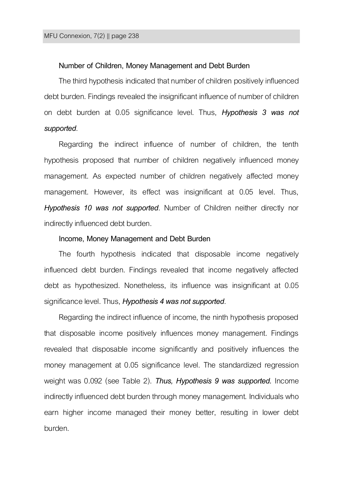#### **Number of Children, Money Management and Debt Burden**

The third hypothesis indicated that number of children positively influenced debt burden. Findings revealed the insignificant influence of number of children on debt burden at 0.05 significance level. Thus, *Hypothesis 3 was not supported*.

Regarding the indirect influence of number of children, the tenth hypothesis proposed that number of children negatively influenced money management. As expected number of children negatively affected money management. However, its effect was insignificant at 0.05 level. Thus, *Hypothesis 10 was not supported*. Number of Children neither directly nor indirectly influenced debt burden.

#### **Income, Money Management and Debt Burden**

The fourth hypothesis indicated that disposable income negatively influenced debt burden. Findings revealed that income negatively affected debt as hypothesized. Nonetheless, its influence was insignificant at 0.05 significance level. Thus, *Hypothesis 4 was not supported*.

Regarding the indirect influence of income, the ninth hypothesis proposed that disposable income positively influences money management. Findings revealed that disposable income significantly and positively influences the money management at 0.05 significance level. The standardized regression weight was 0.092 (see Table 2). *Thus, Hypothesis 9 was supported.* Income indirectly influenced debt burden through money management. Individuals who earn higher income managed their money better, resulting in lower debt burden.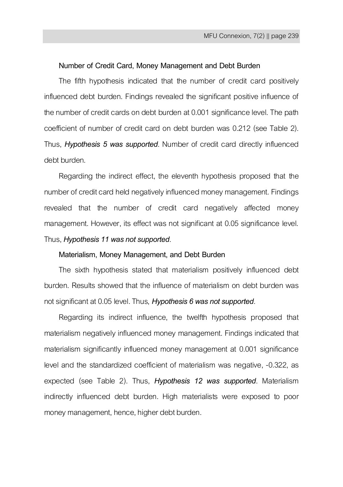#### **Number of Credit Card, Money Management and Debt Burden**

The fifth hypothesis indicated that the number of credit card positively influenced debt burden. Findings revealed the significant positive influence of the number of credit cards on debt burden at 0.001 significance level. The path coefficient of number of credit card on debt burden was 0.212 (see Table 2). Thus, *Hypothesis 5 was supported*. Number of credit card directly influenced debt burden.

Regarding the indirect effect, the eleventh hypothesis proposed that the number of credit card held negatively influenced money management. Findings revealed that the number of credit card negatively affected money management. However, its effect was not significant at 0.05 significance level.

# Thus, *Hypothesis 11 was not supported*.

#### **Materialism, Money Management, and Debt Burden**

The sixth hypothesis stated that materialism positively influenced debt burden. Results showed that the influence of materialism on debt burden was not significant at 0.05 level. Thus, *Hypothesis 6 was not supported*.

Regarding its indirect influence, the twelfth hypothesis proposed that materialism negatively influenced money management. Findings indicated that materialism significantly influenced money management at 0.001 significance level and the standardized coefficient of materialism was negative, -0.322, as expected (see Table 2). Thus, *Hypothesis 12 was supported*. Materialism indirectly influenced debt burden. High materialists were exposed to poor money management, hence, higher debt burden.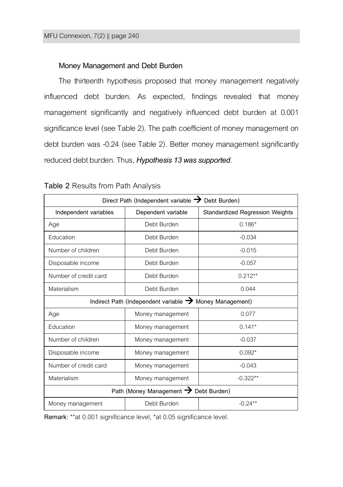# **Money Management and Debt Burden**

The thirteenth hypothesis proposed that money management negatively influenced debt burden. As expected, findings revealed that money management significantly and negatively influenced debt burden at 0.001 significance level (see Table 2). The path coefficient of money management on debt burden was -0.24 (see Table 2). Better money management significantly reduced debt burden. Thus, *Hypothesis 13 was supported*.

|                       | Direct Path (Independent variable → Debt Burden)                    |                                        |
|-----------------------|---------------------------------------------------------------------|----------------------------------------|
| Independent variables | Dependent variable                                                  | <b>Standardized Regression Weights</b> |
| Age                   | Debt Burden                                                         | $0.186*$                               |
| <b>F</b> ducation     | Debt Burden                                                         | $-0.034$                               |
| Number of children    | Debt Burden                                                         | $-0.015$                               |
| Disposable income     | Debt Burden                                                         | $-0.057$                               |
| Number of credit card | Debt Burden                                                         | $0.212**$                              |
| Materialism           | Debt Burden                                                         | 0.044                                  |
|                       | Indirect Path (Independent variable $\rightarrow$ Money Management) |                                        |
| Age                   | Money management                                                    | 0.077                                  |
| Fducation             | Money management                                                    | $0.141*$                               |
| Number of children    | Money management                                                    | $-0.037$                               |
| Disposable income     | Money management                                                    | $0.092*$                               |
| Number of credit card | Money management                                                    | $-0.043$                               |
| Materialism           | Money management                                                    | $-0.322**$                             |
|                       | Path (Money Management > Debt Burden)                               |                                        |
| Money management      | Debt Burden                                                         | $-0.24**$                              |

| Table 2 Results from Path Analysis |
|------------------------------------|
|------------------------------------|

**Remark**: \*\*at 0.001 significance level, \*at 0.05 significance level.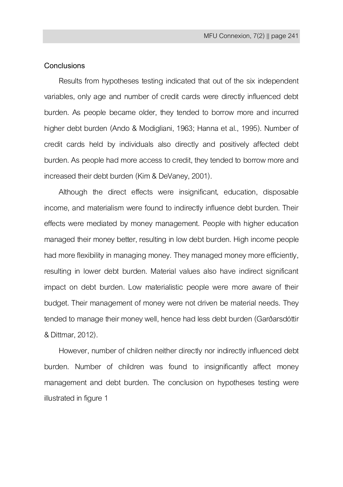# **Conclusions**

Results from hypotheses testing indicated that out of the six independent variables, only age and number of credit cards were directly influenced debt burden. As people became older, they tended to borrow more and incurred higher debt burden (Ando & Modigliani, 1963; Hanna et al., 1995). Number of credit cards held by individuals also directly and positively affected debt burden. As people had more access to credit, they tended to borrow more and increased their debt burden (Kim & DeVaney, 2001).

Although the direct effects were insignificant, education, disposable income, and materialism were found to indirectly influence debt burden. Their effects were mediated by money management. People with higher education managed their money better, resulting in low debt burden. High income people had more flexibility in managing money. They managed money more efficiently, resulting in lower debt burden. Material values also have indirect significant impact on debt burden. Low materialistic people were more aware of their budget. Their management of money were not driven be material needs. They tended to manage their money well, hence had less debt burden (Garðarsdóttir & Dittmar, 2012).

However, number of children neither directly nor indirectly influenced debt burden. Number of children was found to insignificantly affect money management and debt burden. The conclusion on hypotheses testing were illustrated in figure 1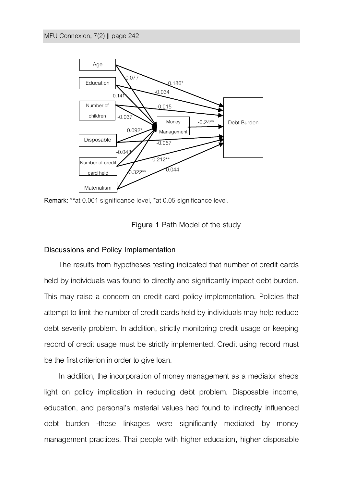

**Remark**: \*\*at 0.001 significance level, \*at 0.05 significance level.



# **Discussions and Policy Implementation**

The results from hypotheses testing indicated that number of credit cards held by individuals was found to directly and significantly impact debt burden. This may raise a concern on credit card policy implementation. Policies that attempt to limit the number of credit cards held by individuals may help reduce debt severity problem. In addition, strictly monitoring credit usage or keeping record of credit usage must be strictly implemented. Credit using record must be the first criterion in order to give loan.

In addition, the incorporation of money management as a mediator sheds light on policy implication in reducing debt problem. Disposable income, education, and personal's material values had found to indirectly influenced debt burden -these linkages were significantly mediated by money management practices. Thai people with higher education, higher disposable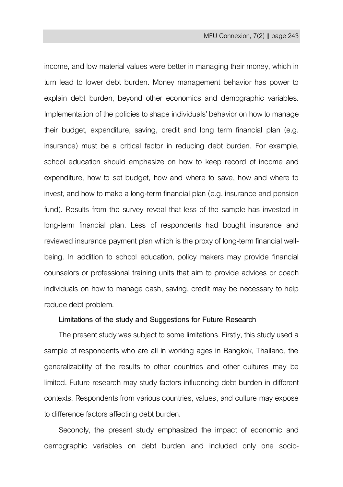income, and low material values were better in managing their money, which in turn lead to lower debt burden. Money management behavior has power to explain debt burden, beyond other economics and demographic variables. Implementation of the policies to shape individuals' behavior on how to manage their budget, expenditure, saving, credit and long term financial plan (e.g. insurance) must be a critical factor in reducing debt burden. For example, school education should emphasize on how to keep record of income and expenditure, how to set budget, how and where to save, how and where to invest, and how to make a long-term financial plan (e.g. insurance and pension fund). Results from the survey reveal that less of the sample has invested in long-term financial plan. Less of respondents had bought insurance and reviewed insurance payment plan which is the proxy of long-term financial wellbeing. In addition to school education, policy makers may provide financial counselors or professional training units that aim to provide advices or coach individuals on how to manage cash, saving, credit may be necessary to help reduce debt problem.

# **Limitations of the study and Suggestions for Future Research**

The present study was subject to some limitations. Firstly, this study used a sample of respondents who are all in working ages in Bangkok, Thailand, the generalizability of the results to other countries and other cultures may be limited. Future research may study factors influencing debt burden in different contexts. Respondents from various countries, values,and culture may expose to difference factors affecting debt burden.

Secondly, the present study emphasized the impact of economic and demographic variables on debt burden and included only one socio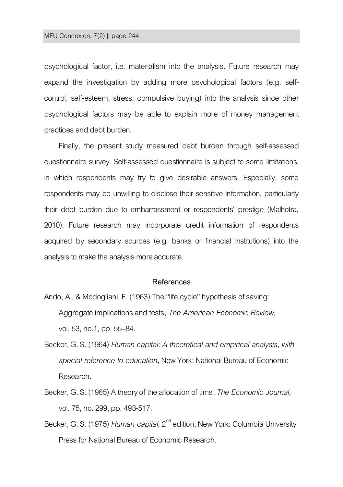psychological factor, i.e. materialism into the analysis. Future research may expand the investigation by adding more psychological factors (e.g. selfcontrol, self-esteem, stress, compulsive buying) into the analysis since other psychological factors may be able to explain more of money management practices and debt burden.

Finally, the present study measured debt burden through self-assessed questionnaire survey. Self-assessed questionnaire is subject to some limitations, in which respondents may try to give desirable answers. Especially, some respondents may be unwilling to disclose their sensitive information, particularly their debt burden due to embarrassment or respondents' prestige (Malhotra, 2010). Future research may incorporate credit information of respondents acquired by secondary sources (e.g. banks or financial institutions) into the analysis to make the analysis more accurate.

#### **References**

- Ando, A., & Modogliani, F. (1963) The "life cycle" hypothesis of saving: Aggregate implications and tests, *The American Economic Review,*  vol. 53, no.1, pp. 55–84.
- Becker, G. S. (1964) *Human capital: A theoretical and empirical analysis, with special reference to education,* New York: National Bureau of Economic Research.
- Becker, G. S. (1965) A theory of the allocation of time,*The Economic Journal,*  vol. 75, no. 299, pp. 493-517.
- Becker, G. S. (1975) *Human capital,* 2<sup>nd</sup> edition, New York: Columbia University Press for National Bureau of Economic Research.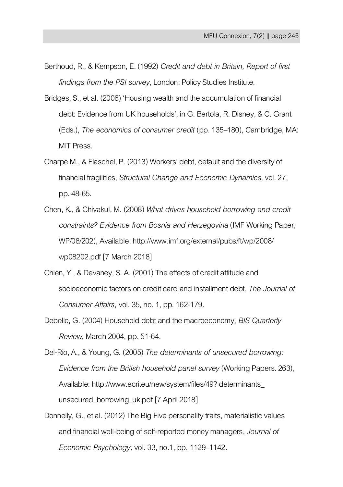- Berthoud, R., & Kempson, E. (1992) *Credit and debt in Britain, Report of first findings from the PSI survey,*London: Policy Studies Institute.
- Bridges, S., et al. (2006) 'Housing wealth and the accumulation of financial debt: Evidence from UK households', in G. Bertola, R. Disney, & C. Grant (Eds.), *The economics of consumer credit* (pp. 135–180), Cambridge, MA: MIT Press.
- Charpe M., & Flaschel, P. (2013) Workers' debt, default and the diversity of financial fragilities, *Structural Change and Economic Dynamics*, vol. 27, pp. 48-65.
- Chen, K., & Chivakul, M. (2008) *What drives household borrowing and credit constraints? Evidence from Bosnia and Herzegovina*(IMF Working Paper, WP/08/202), Available: http://www.imf.org/external/pubs/ft/wp/2008/ wp08202.pdf [7 March 2018]
- Chien, Y., & Devaney, S. A. (2001) The effects of credit attitude and socioeconomic factors on credit card and installment debt,*The Journal of Consumer Affairs,* vol. 35, no.1, pp. 162-179.
- Debelle, G. (2004) Household debt and the macroeconomy, *BIS Quarterly Review*, March 2004, pp. 51-64.

Del-Rio, A., & Young, G. (2005) *The determinants of unsecured borrowing: Evidence from the British household panel survey*(Working Papers. 263), Available: http://www.ecri.eu/new/system/files/49? determinants\_ unsecured borrowing uk.pdf [7 April 2018]

Donnelly, G., et al. (2012) The Big Five personality traits, materialistic values and financial well-being of self-reported money managers,*Journal of Economic Psychology,* vol. 33, no.1, pp. 1129–1142.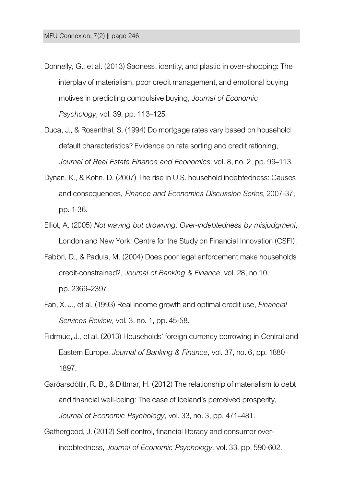Donnelly, G., et al. (2013) Sadness, identity, and plastic in over-shopping: The interplay of materialism, poor credit management, and emotional buying motives in predicting compulsive buying,*Journal of Economic Psychology,* vol. 39, pp. 113–125.

Duca, J., & Rosenthal, S. (1994) Do mortgage rates vary based on household default characteristics? Evidence on rate sorting and credit rationing, *Journal of Real Estate Finance and Economics,* vol. 8, no. 2, pp. 99–113.

- Dynan, K., & Kohn, D. (2007) The rise in U.S. household indebtedness: Causes and consequences, *Finance and Economics Discussion Series,*2007-37, pp. 1-36.
- Elliot, A. (2005) *Not waving but drowning: Over-indebtedness by misjudgment*, Londonand New York: Centre for the Study on Financial Innovation (CSFI).
- Fabbri, D., & Padula, M. (2004) Does poor legal enforcement make households credit-constrained?, *Journal of Banking & Finance,* vol. 28, no.10, pp. 2369–2397.
- Fan, X. J., et al. (1993) Real income growth and optimal credit use,*Financial Services Review,* vol. 3, no. 1, pp. 45-58.
- Fidrmuc, J., et al. (2013) Households' foreign currency borrowing in Central and Eastern Europe,*Journal of Banking & Finance,* vol. 37, no. 6, pp. 1880– 1897.
- Garðarsdóttir, R. B., & Dittmar, H. (2012) The relationship of materialism to debt and financial well-being: The case of Iceland's perceived prosperity, *Journal of Economic Psychology,* vol. 33, no. 3, pp. 471–481.

Gathergood, J. (2012) Self-control, financial literacy and consumer overindebtedness,*Journal of Economic Psychology,* vol. 33, pp. 590-602.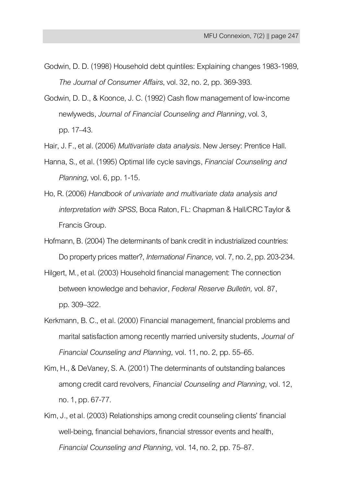- Godwin, D. D. (1998) Household debt quintiles: Explaining changes 1983-1989, *The Journal of Consumer Affairs*, vol. 32, no. 2, pp. 369-393.
- Godwin, D. D., & Koonce, J. C. (1992) Cash flow management of low-income newlyweds,*Journal of Financial Counseling and Planning*, vol. 3, pp. 17–43.
- Hair, J. F., et al. (2006) *Multivariate data analysis*. New Jersey: Prentice Hall.
- Hanna, S., et al. (1995) Optimal life cycle savings, *Financial Counseling and Planning,*vol. 6, pp. 1-15.
- Ho, R. (2006) *Handbook of univariate and multivariate data analysis and interpretation with SPSS,* Boca Raton, FL: Chapman & Hall/CRC Taylor & Francis Group.
- Hofmann, B. (2004) The determinants of bank credit in industrialized countries: Do property prices matter?, *International Finance,* vol. 7, no. 2, pp. 203-234.
- Hilgert, M., et al. (2003) Household financial management: The connection between knowledge and behavior,*Federal Reserve Bulletin,* vol. 87, pp. 309–322.
- Kerkmann, B. C., et al. (2000) Financial management, financial problems and marital satisfaction among recently married university students,*Journal of Financial Counseling and Planning,* vol. 11, no. 2, pp. 55–65.
- Kim, H., & DeVaney, S. A. (2001) The determinants of outstanding balances among credit card revolvers,*Financial Counseling and Planning,* vol. 12, no. 1, pp. 67-77.
- Kim, J., et al. (2003) Relationships among credit counseling clients' financial well-being, financial behaviors, financial stressor events and health, *Financial Counseling and Planning,* vol. 14, no. 2, pp. 75–87.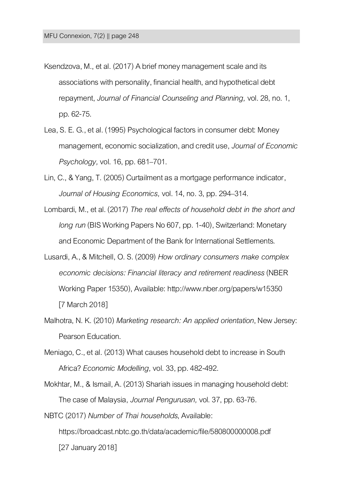Ksendzova, M., et al. (2017) A brief money management scale and its associations with personality, financial health, and hypothetical debt repayment,*Journal of Financial Counseling and Planning,* vol. 28, no. 1, pp. 62-75.

- Lea, S. E. G., et al. (1995) Psychological factors in consumer debt: Money management, economic socialization, and credit use,*Journal of Economic Psychology,* vol. 16, pp. 681–701.
- Lin, C., & Yang, T. (2005) Curtailment as a mortgage performance indicator, *Journal of Housing Economics,* vol. 14, no. 3, pp. 294–314.
- Lombardi, M., et al. (2017) *The real effects of household debt in the short and long run*(BIS Working Papers No 607, pp. 1-40), Switzerland: Monetary and Economic Department of the Bank for International Settlements.
- Lusardi, A., & Mitchell, O. S. (2009) *How ordinary consumers make complex economic decisions: Financial literacy and retirement readiness*(NBER Working Paper 15350), Available: http://www.nber.org/papers/w15350 [7 March 2018]
- Malhotra, N. K. (2010) *Marketing research: An applied orientation*, New Jersey: Pearson Education.
- Meniago, C., et al. (2013) What causes household debt to increase in South Africa? *Economic Modelling,* vol. 33, pp. 482-492.
- Mokhtar, M., & Ismail, A. (2013) Shariah issues in managing household debt: The case of Malaysia,*Journal Pengurusan,* vol. 37, pp. 63-76.

NBTC (2017) *Number of Thai households*, Available: https://broadcast.nbtc.go.th/data/academic/file/580800000008.pdf [27 January 2018]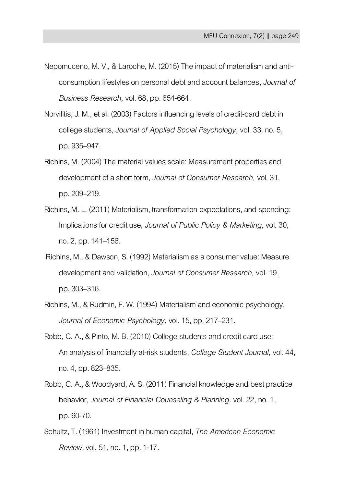- Nepomuceno, M. V., & Laroche, M. (2015) The impact of materialism and anticonsumption lifestyles on personal debt and account balances,*Journal of Business Research,* vol. 68, pp. 654-664.
- Norvilitis, J. M., et al. (2003) Factors influencing levels of credit-card debt in college students,*Journal of Applied Social Psychology,* vol. 33, no. 5, pp. 935–947.
- Richins, M. (2004) The material values scale: Measurement properties and development of a short form,*Journal of Consumer Research,* vol. 31, pp. 209–219.
- Richins, M. L. (2011) Materialism, transformation expectations, and spending: Implications for credit use,*Journal of Public Policy & Marketing,* vol. 30, no. 2, pp. 141–156.
- Richins, M., & Dawson, S. (1992) Materialism as a consumer value: Measure development and validation,*Journal of Consumer Research,* vol. 19, pp. 303–316.
- Richins, M., & Rudmin, F. W. (1994) Materialism and economic psychology, *Journal of Economic Psychology,* vol. 15, pp. 217–231.
- Robb, C. A., & Pinto, M. B. (2010) College students and credit card use: An analysis of financially at-risk students, *College Student Journal,* vol. 44, no. 4, pp. 823–835.
- Robb, C. A., & Woodyard, A. S. (2011) Financial knowledge and best practice behavior,*Journal of Financial Counseling & Planning,* vol. 22, no. 1, pp. 60-70.
- Schultz, T. (1961) Investment in human capital,*The American Economic Review,*vol. 51, no. 1, pp. 1-17.